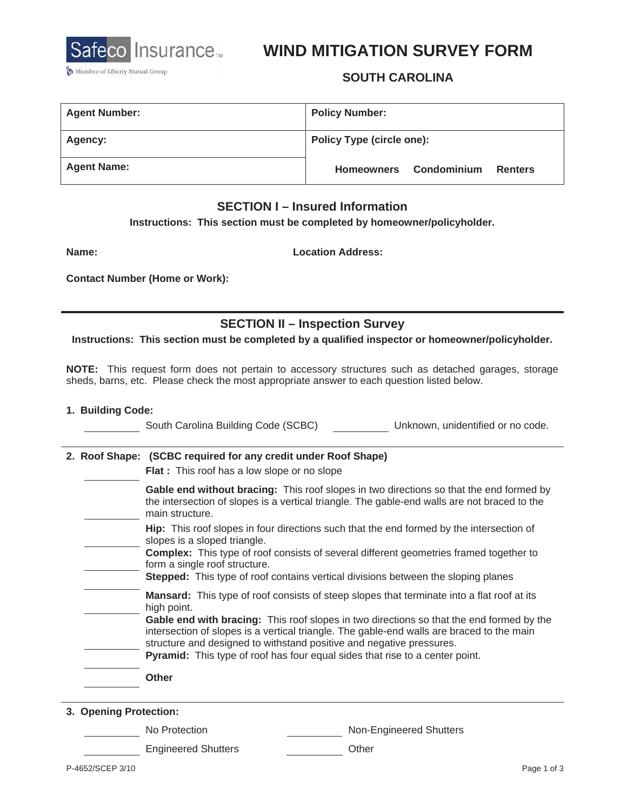

# **WIND MITIGATION SURVEY FORM**

## **SOUTH CAROLINA**

| <b>Agent Number:</b> | <b>Policy Number:</b>            |             |         |
|----------------------|----------------------------------|-------------|---------|
| <b>Agency:</b>       | <b>Policy Type (circle one):</b> |             |         |
| <b>Agent Name:</b>   | <b>Homeowners</b>                | Condominium | Renters |

### **SECTION I – Insured Information**

**Instructions: This section must be completed by homeowner/policyholder.** 

**Name:** 

**Location Address:** 

**Contact Number (Home or Work):** 

**SECTION II – Inspection Survey** 

**Instructions: This section must be completed by a qualified inspector or homeowner/policyholder.** 

**NOTE:** This request form does not pertain to accessory structures such as detached garages, storage sheds, barns, etc. Please check the most appropriate answer to each question listed below.

#### **1. Building Code:**

|                        | South Carolina Building Code (SCBC)<br>Unknown, unidentified or no code.                                                                                                                                                                                                                                                                                                                                                                                                 |
|------------------------|--------------------------------------------------------------------------------------------------------------------------------------------------------------------------------------------------------------------------------------------------------------------------------------------------------------------------------------------------------------------------------------------------------------------------------------------------------------------------|
|                        | 2. Roof Shape: (SCBC required for any credit under Roof Shape)<br><b>Flat</b> : This roof has a low slope or no slope                                                                                                                                                                                                                                                                                                                                                    |
|                        | Gable end without bracing: This roof slopes in two directions so that the end formed by<br>the intersection of slopes is a vertical triangle. The gable-end walls are not braced to the<br>main structure.                                                                                                                                                                                                                                                               |
|                        | <b>Hip:</b> This roof slopes in four directions such that the end formed by the intersection of<br>slopes is a sloped triangle.<br><b>Complex:</b> This type of roof consists of several different geometries framed together to<br>form a single roof structure.<br><b>Stepped:</b> This type of roof contains vertical divisions between the sloping planes                                                                                                            |
|                        | <b>Mansard:</b> This type of roof consists of steep slopes that terminate into a flat roof at its<br>high point.<br>Gable end with bracing: This roof slopes in two directions so that the end formed by the<br>intersection of slopes is a vertical triangle. The gable-end walls are braced to the main<br>structure and designed to withstand positive and negative pressures.<br><b>Pyramid:</b> This type of roof has four equal sides that rise to a center point. |
|                        | <b>Other</b>                                                                                                                                                                                                                                                                                                                                                                                                                                                             |
| 3. Opening Protection: |                                                                                                                                                                                                                                                                                                                                                                                                                                                                          |

No Protection Non-Engineered Shutters

Engineered Shutters **Canadian Community** Other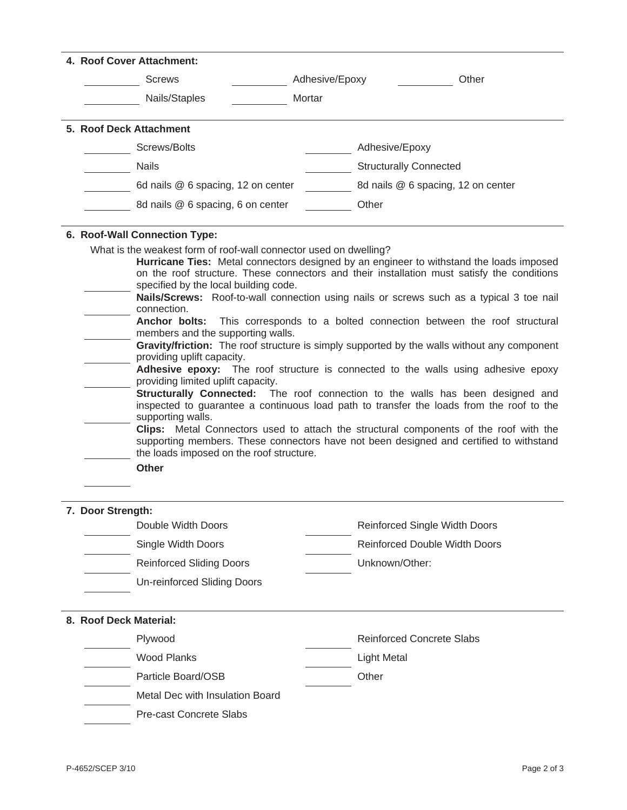| 4. Roof Cover Attachment:                                                                                                                                 |                                                                                                                                                                                                                                                                                                                                                                                                                                                                                                                                                                                                                                                                                                                                                                                                                                                                                                                       |  |  |
|-----------------------------------------------------------------------------------------------------------------------------------------------------------|-----------------------------------------------------------------------------------------------------------------------------------------------------------------------------------------------------------------------------------------------------------------------------------------------------------------------------------------------------------------------------------------------------------------------------------------------------------------------------------------------------------------------------------------------------------------------------------------------------------------------------------------------------------------------------------------------------------------------------------------------------------------------------------------------------------------------------------------------------------------------------------------------------------------------|--|--|
| <b>Screws</b>                                                                                                                                             | Other<br>Adhesive/Epoxy                                                                                                                                                                                                                                                                                                                                                                                                                                                                                                                                                                                                                                                                                                                                                                                                                                                                                               |  |  |
| Nails/Staples                                                                                                                                             | Mortar                                                                                                                                                                                                                                                                                                                                                                                                                                                                                                                                                                                                                                                                                                                                                                                                                                                                                                                |  |  |
| 5. Roof Deck Attachment                                                                                                                                   |                                                                                                                                                                                                                                                                                                                                                                                                                                                                                                                                                                                                                                                                                                                                                                                                                                                                                                                       |  |  |
| Screws/Bolts                                                                                                                                              | Adhesive/Epoxy                                                                                                                                                                                                                                                                                                                                                                                                                                                                                                                                                                                                                                                                                                                                                                                                                                                                                                        |  |  |
| <b>Nails</b>                                                                                                                                              | <b>Structurally Connected</b>                                                                                                                                                                                                                                                                                                                                                                                                                                                                                                                                                                                                                                                                                                                                                                                                                                                                                         |  |  |
| 6d nails @ 6 spacing, 12 on center                                                                                                                        | 8d nails @ 6 spacing, 12 on center                                                                                                                                                                                                                                                                                                                                                                                                                                                                                                                                                                                                                                                                                                                                                                                                                                                                                    |  |  |
| 8d nails @ 6 spacing, 6 on center                                                                                                                         | Other                                                                                                                                                                                                                                                                                                                                                                                                                                                                                                                                                                                                                                                                                                                                                                                                                                                                                                                 |  |  |
| 6. Roof-Wall Connection Type:<br>What is the weakest form of roof-wall connector used on dwelling?                                                        |                                                                                                                                                                                                                                                                                                                                                                                                                                                                                                                                                                                                                                                                                                                                                                                                                                                                                                                       |  |  |
| connection.<br>members and the supporting walls.<br>providing uplift capacity.<br>providing limited uplift capacity.<br>supporting walls.<br><b>Other</b> | on the roof structure. These connectors and their installation must satisfy the conditions<br>specified by the local building code.<br>Nails/Screws: Roof-to-wall connection using nails or screws such as a typical 3 toe nail<br>Anchor bolts: This corresponds to a bolted connection between the roof structural<br>Gravity/friction: The roof structure is simply supported by the walls without any component<br>Adhesive epoxy: The roof structure is connected to the walls using adhesive epoxy<br>Structurally Connected: The roof connection to the walls has been designed and<br>inspected to guarantee a continuous load path to transfer the loads from the roof to the<br>Clips: Metal Connectors used to attach the structural components of the roof with the<br>supporting members. These connectors have not been designed and certified to withstand<br>the loads imposed on the roof structure. |  |  |
| 7. Door Strength:                                                                                                                                         |                                                                                                                                                                                                                                                                                                                                                                                                                                                                                                                                                                                                                                                                                                                                                                                                                                                                                                                       |  |  |
| Double Width Doors                                                                                                                                        | <b>Reinforced Single Width Doors</b>                                                                                                                                                                                                                                                                                                                                                                                                                                                                                                                                                                                                                                                                                                                                                                                                                                                                                  |  |  |
| Single Width Doors                                                                                                                                        | Reinforced Double Width Doors                                                                                                                                                                                                                                                                                                                                                                                                                                                                                                                                                                                                                                                                                                                                                                                                                                                                                         |  |  |
| <b>Reinforced Sliding Doors</b>                                                                                                                           | Unknown/Other:                                                                                                                                                                                                                                                                                                                                                                                                                                                                                                                                                                                                                                                                                                                                                                                                                                                                                                        |  |  |
| Un-reinforced Sliding Doors                                                                                                                               |                                                                                                                                                                                                                                                                                                                                                                                                                                                                                                                                                                                                                                                                                                                                                                                                                                                                                                                       |  |  |
| 8. Roof Deck Material:                                                                                                                                    |                                                                                                                                                                                                                                                                                                                                                                                                                                                                                                                                                                                                                                                                                                                                                                                                                                                                                                                       |  |  |
| Plywood                                                                                                                                                   | <b>Reinforced Concrete Slabs</b>                                                                                                                                                                                                                                                                                                                                                                                                                                                                                                                                                                                                                                                                                                                                                                                                                                                                                      |  |  |
| <b>Wood Planks</b>                                                                                                                                        | <b>Light Metal</b>                                                                                                                                                                                                                                                                                                                                                                                                                                                                                                                                                                                                                                                                                                                                                                                                                                                                                                    |  |  |
| Particle Board/OSB                                                                                                                                        | Other                                                                                                                                                                                                                                                                                                                                                                                                                                                                                                                                                                                                                                                                                                                                                                                                                                                                                                                 |  |  |
| Metal Dec with Insulation Board                                                                                                                           |                                                                                                                                                                                                                                                                                                                                                                                                                                                                                                                                                                                                                                                                                                                                                                                                                                                                                                                       |  |  |
| Pre-cast Concrete Slabs                                                                                                                                   |                                                                                                                                                                                                                                                                                                                                                                                                                                                                                                                                                                                                                                                                                                                                                                                                                                                                                                                       |  |  |